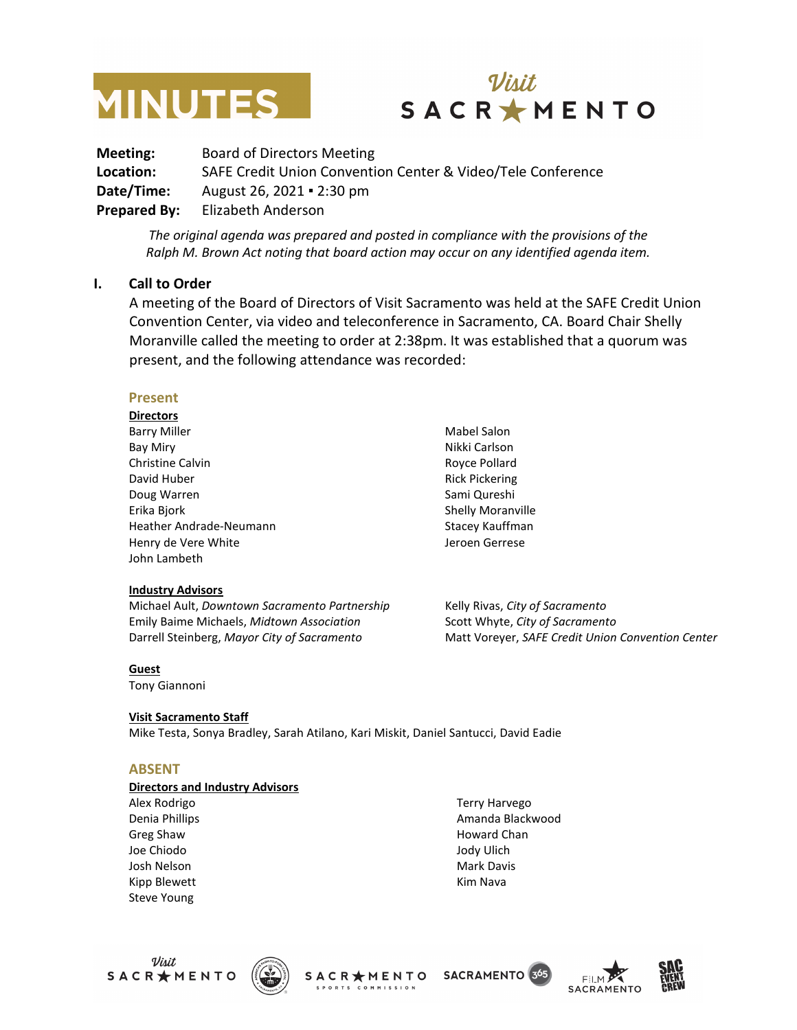



**Meeting:** Board of Directors Meeting **Location:** SAFE Credit Union Convention Center & Video/Tele Conference **Date/Time:** August 26, 2021 ▪ 2:30 pm **Prepared By:** Elizabeth Anderson

*The original agenda was prepared and posted in compliance with the provisions of the Ralph M. Brown Act noting that board action may occur on any identified agenda item.*

#### **I. Call to Order**

A meeting of the Board of Directors of Visit Sacramento was held at the SAFE Credit Union Convention Center, via video and teleconference in Sacramento, CA. Board Chair Shelly Moranville called the meeting to order at 2:38pm. It was established that a quorum was present, and the following attendance was recorded:

#### **Present**

**Directors** Barry Miller Bay Miry Christine Calvin David Huber Doug Warren Erika Bjork Heather Andrade-Neumann Henry de Vere White John Lambeth

#### **Industry Advisors**

Michael Ault, *Downtown Sacramento Partnership* Emily Baime Michaels, *Midtown Association* Darrell Steinberg, *Mayor City of Sacramento*

Mabel Salon Nikki Carlson Royce Pollard Rick Pickering Sami Qureshi Shelly Moranville Stacey Kauffman Jeroen Gerrese

Kelly Rivas, *City of Sacramento* Scott Whyte, *City of Sacramento* Matt Voreyer, *SAFE Credit Union Convention Center*

#### **Guest**

Tony Giannoni

#### **Visit Sacramento Staff**

Mike Testa, Sonya Bradley, Sarah Atilano, Kari Miskit, Daniel Santucci, David Eadie

#### **ABSENT**

#### **Directors and Industry Advisors**

Alex Rodrigo Denia Phillips Greg Shaw Joe Chiodo Josh Nelson Kipp Blewett Steve Young

Terry Harvego Amanda Blackwood Howard Chan Jody Ulich Mark Davis Kim Nava





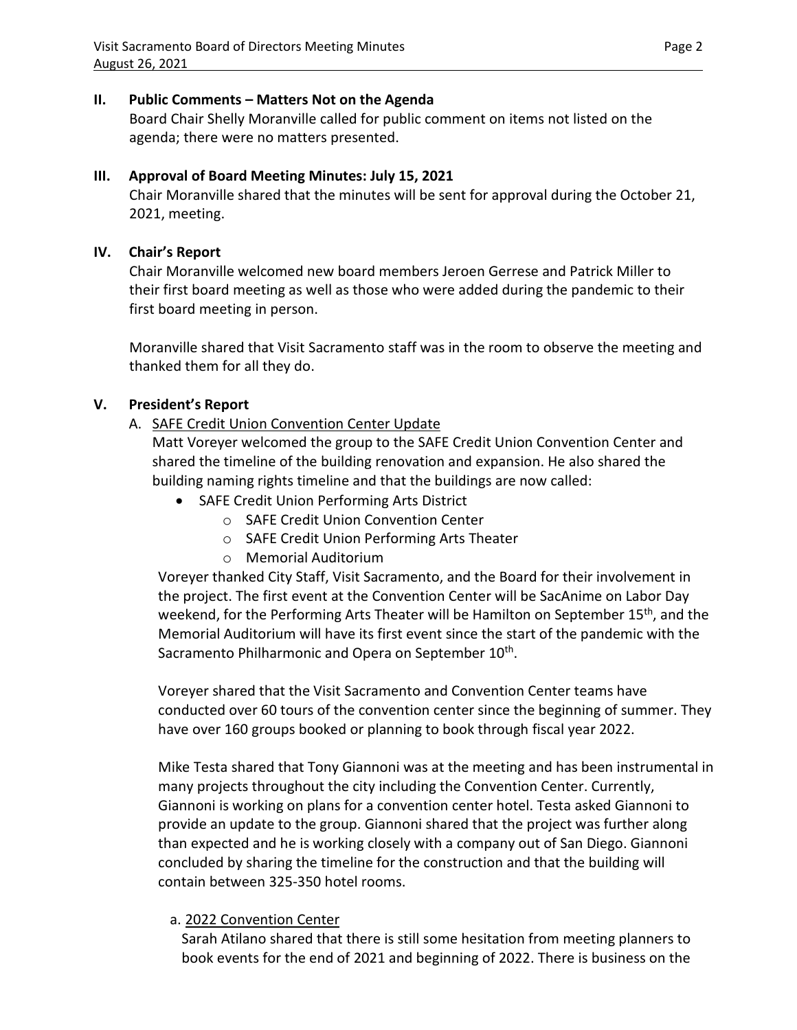### **II. Public Comments – Matters Not on the Agenda**

Board Chair Shelly Moranville called for public comment on items not listed on the agenda; there were no matters presented.

## **III. Approval of Board Meeting Minutes: July 15, 2021**

Chair Moranville shared that the minutes will be sent for approval during the October 21, 2021, meeting.

# **IV. Chair's Report**

Chair Moranville welcomed new board members Jeroen Gerrese and Patrick Miller to their first board meeting as well as those who were added during the pandemic to their first board meeting in person.

Moranville shared that Visit Sacramento staff was in the room to observe the meeting and thanked them for all they do.

# **V. President's Report**

A. SAFE Credit Union Convention Center Update

Matt Voreyer welcomed the group to the SAFE Credit Union Convention Center and shared the timeline of the building renovation and expansion. He also shared the building naming rights timeline and that the buildings are now called:

- SAFE Credit Union Performing Arts District
	- o SAFE Credit Union Convention Center
	- o SAFE Credit Union Performing Arts Theater
	- o Memorial Auditorium

Voreyer thanked City Staff, Visit Sacramento, and the Board for their involvement in the project. The first event at the Convention Center will be SacAnime on Labor Day weekend, for the Performing Arts Theater will be Hamilton on September 15<sup>th</sup>, and the Memorial Auditorium will have its first event since the start of the pandemic with the Sacramento Philharmonic and Opera on September 10<sup>th</sup>.

Voreyer shared that the Visit Sacramento and Convention Center teams have conducted over 60 tours of the convention center since the beginning of summer. They have over 160 groups booked or planning to book through fiscal year 2022.

Mike Testa shared that Tony Giannoni was at the meeting and has been instrumental in many projects throughout the city including the Convention Center. Currently, Giannoni is working on plans for a convention center hotel. Testa asked Giannoni to provide an update to the group. Giannoni shared that the project was further along than expected and he is working closely with a company out of San Diego. Giannoni concluded by sharing the timeline for the construction and that the building will contain between 325-350 hotel rooms.

## a. 2022 Convention Center

Sarah Atilano shared that there is still some hesitation from meeting planners to book events for the end of 2021 and beginning of 2022. There is business on the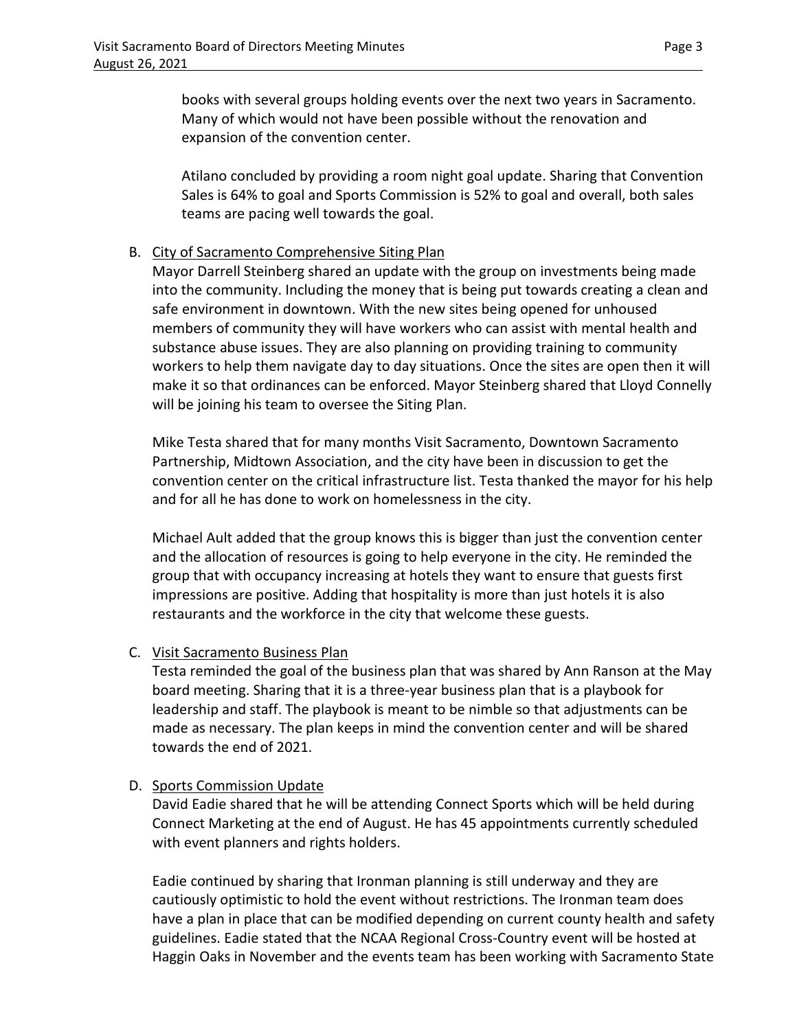books with several groups holding events over the next two years in Sacramento. Many of which would not have been possible without the renovation and expansion of the convention center.

Atilano concluded by providing a room night goal update. Sharing that Convention Sales is 64% to goal and Sports Commission is 52% to goal and overall, both sales teams are pacing well towards the goal.

## B. City of Sacramento Comprehensive Siting Plan

Mayor Darrell Steinberg shared an update with the group on investments being made into the community. Including the money that is being put towards creating a clean and safe environment in downtown. With the new sites being opened for unhoused members of community they will have workers who can assist with mental health and substance abuse issues. They are also planning on providing training to community workers to help them navigate day to day situations. Once the sites are open then it will make it so that ordinances can be enforced. Mayor Steinberg shared that Lloyd Connelly will be joining his team to oversee the Siting Plan.

Mike Testa shared that for many months Visit Sacramento, Downtown Sacramento Partnership, Midtown Association, and the city have been in discussion to get the convention center on the critical infrastructure list. Testa thanked the mayor for his help and for all he has done to work on homelessness in the city.

Michael Ault added that the group knows this is bigger than just the convention center and the allocation of resources is going to help everyone in the city. He reminded the group that with occupancy increasing at hotels they want to ensure that guests first impressions are positive. Adding that hospitality is more than just hotels it is also restaurants and the workforce in the city that welcome these guests.

## C. Visit Sacramento Business Plan

Testa reminded the goal of the business plan that was shared by Ann Ranson at the May board meeting. Sharing that it is a three-year business plan that is a playbook for leadership and staff. The playbook is meant to be nimble so that adjustments can be made as necessary. The plan keeps in mind the convention center and will be shared towards the end of 2021.

## D. Sports Commission Update

David Eadie shared that he will be attending Connect Sports which will be held during Connect Marketing at the end of August. He has 45 appointments currently scheduled with event planners and rights holders.

Eadie continued by sharing that Ironman planning is still underway and they are cautiously optimistic to hold the event without restrictions. The Ironman team does have a plan in place that can be modified depending on current county health and safety guidelines. Eadie stated that the NCAA Regional Cross-Country event will be hosted at Haggin Oaks in November and the events team has been working with Sacramento State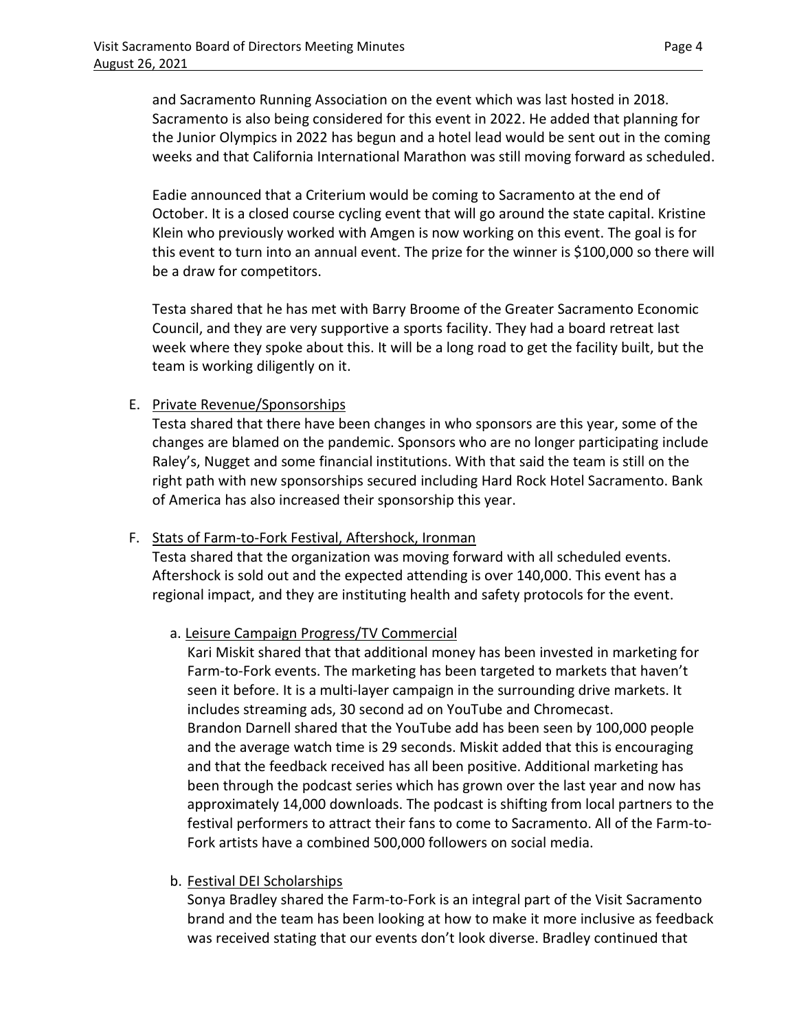and Sacramento Running Association on the event which was last hosted in 2018. Sacramento is also being considered for this event in 2022. He added that planning for the Junior Olympics in 2022 has begun and a hotel lead would be sent out in the coming weeks and that California International Marathon was still moving forward as scheduled.

Eadie announced that a Criterium would be coming to Sacramento at the end of October. It is a closed course cycling event that will go around the state capital. Kristine Klein who previously worked with Amgen is now working on this event. The goal is for this event to turn into an annual event. The prize for the winner is \$100,000 so there will be a draw for competitors.

Testa shared that he has met with Barry Broome of the Greater Sacramento Economic Council, and they are very supportive a sports facility. They had a board retreat last week where they spoke about this. It will be a long road to get the facility built, but the team is working diligently on it.

## E. Private Revenue/Sponsorships

Testa shared that there have been changes in who sponsors are this year, some of the changes are blamed on the pandemic. Sponsors who are no longer participating include Raley's, Nugget and some financial institutions. With that said the team is still on the right path with new sponsorships secured including Hard Rock Hotel Sacramento. Bank of America has also increased their sponsorship this year.

### F. Stats of Farm-to-Fork Festival, Aftershock, Ironman

Testa shared that the organization was moving forward with all scheduled events. Aftershock is sold out and the expected attending is over 140,000. This event has a regional impact, and they are instituting health and safety protocols for the event.

## a. Leisure Campaign Progress/TV Commercial

Kari Miskit shared that that additional money has been invested in marketing for Farm-to-Fork events. The marketing has been targeted to markets that haven't seen it before. It is a multi-layer campaign in the surrounding drive markets. It includes streaming ads, 30 second ad on YouTube and Chromecast. Brandon Darnell shared that the YouTube add has been seen by 100,000 people and the average watch time is 29 seconds. Miskit added that this is encouraging and that the feedback received has all been positive. Additional marketing has been through the podcast series which has grown over the last year and now has approximately 14,000 downloads. The podcast is shifting from local partners to the festival performers to attract their fans to come to Sacramento. All of the Farm-to-Fork artists have a combined 500,000 followers on social media.

### b. Festival DEI Scholarships

Sonya Bradley shared the Farm-to-Fork is an integral part of the Visit Sacramento brand and the team has been looking at how to make it more inclusive as feedback was received stating that our events don't look diverse. Bradley continued that